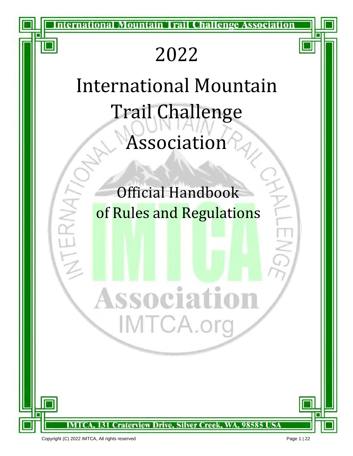nternational Mountain Trail Challenge Association

# 2022

# International Mountain Trail Challenge Association

Official Handbook of Rules and Regulations

ssociation

131 Craterview Drive, Silver Creek, WA, 98585 USA

IMTCA.or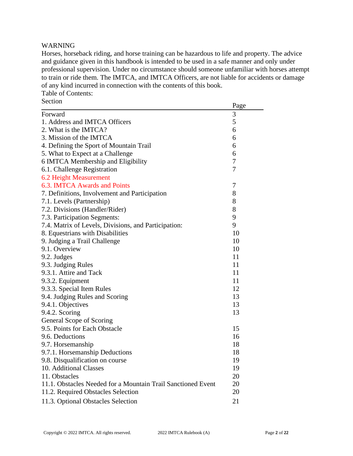# WARNING

Horses, horseback riding, and horse training can be hazardous to life and property. The advice and guidance given in this handbook is intended to be used in a safe manner and only under professional supervision. Under no circumstance should someone unfamiliar with horses attempt to train or ride them. The IMTCA, and IMTCA Officers, are not liable for accidents or damage of any kind incurred in connection with the contents of this book. Table of Contents:

| Section                                                      | Page |
|--------------------------------------------------------------|------|
| Forward                                                      | 3    |
| 1. Address and IMTCA Officers                                | 5    |
| 2. What is the IMTCA?                                        | 6    |
| 3. Mission of the IMTCA                                      | 6    |
| 4. Defining the Sport of Mountain Trail                      | 6    |
| 5. What to Expect at a Challenge                             | 6    |
| 6 IMTCA Membership and Eligibility                           | 7    |
| 6.1. Challenge Registration                                  | 7    |
| 6.2 Height Measurement                                       |      |
| 6.3. IMTCA Awards and Points                                 | 7    |
| 7. Definitions, Involvement and Participation                | 8    |
| 7.1. Levels (Partnership)                                    | 8    |
| 7.2. Divisions (Handler/Rider)                               | 8    |
| 7.3. Participation Segments:                                 | 9    |
| 7.4. Matrix of Levels, Divisions, and Participation:         | 9    |
| 8. Equestrians with Disabilities                             | 10   |
| 9. Judging a Trail Challenge                                 | 10   |
| 9.1. Overview                                                | 10   |
| 9.2. Judges                                                  | 11   |
| 9.3. Judging Rules                                           | 11   |
| 9.3.1. Attire and Tack                                       | 11   |
| 9.3.2. Equipment                                             | 11   |
| 9.3.3. Special Item Rules                                    | 12   |
| 9.4. Judging Rules and Scoring                               | 13   |
| 9.4.1. Objectives                                            | 13   |
| 9.4.2. Scoring                                               | 13   |
| General Scope of Scoring                                     |      |
| 9.5. Points for Each Obstacle                                | 15   |
| 9.6. Deductions                                              | 16   |
| 9.7. Horsemanship                                            | 18   |
| 9.7.1. Horsemanship Deductions                               | 18   |
| 9.8. Disqualification on course                              | 19   |
| 10. Additional Classes                                       | 19   |
| 11. Obstacles                                                | 20   |
| 11.1. Obstacles Needed for a Mountain Trail Sanctioned Event | 20   |
| 11.2. Required Obstacles Selection                           | 20   |
| 11.3. Optional Obstacles Selection                           | 21   |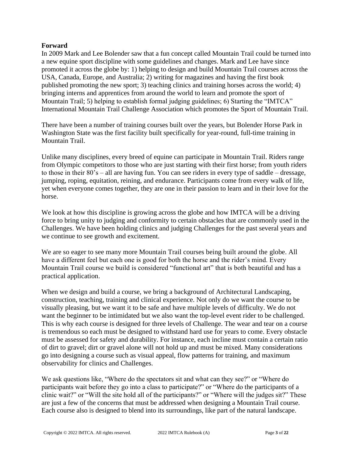# **Forward**

In 2009 Mark and Lee Bolender saw that a fun concept called Mountain Trail could be turned into a new equine sport discipline with some guidelines and changes. Mark and Lee have since promoted it across the globe by: 1) helping to design and build Mountain Trail courses across the USA, Canada, Europe, and Australia; 2) writing for magazines and having the first book published promoting the new sport; 3) teaching clinics and training horses across the world; 4) bringing interns and apprentices from around the world to learn and promote the sport of Mountain Trail; 5) helping to establish formal judging guidelines; 6) Starting the "IMTCA" International Mountain Trail Challenge Association which promotes the Sport of Mountain Trail.

There have been a number of training courses built over the years, but Bolender Horse Park in Washington State was the first facility built specifically for year-round, full-time training in Mountain Trail.

Unlike many disciplines, every breed of equine can participate in Mountain Trail. Riders range from Olympic competitors to those who are just starting with their first horse; from youth riders to those in their 80's – all are having fun. You can see riders in every type of saddle – dressage, jumping, roping, equitation, reining, and endurance. Participants come from every walk of life, yet when everyone comes together, they are one in their passion to learn and in their love for the horse.

We look at how this discipline is growing across the globe and how IMTCA will be a driving force to bring unity to judging and conformity to certain obstacles that are commonly used in the Challenges. We have been holding clinics and judging Challenges for the past several years and we continue to see growth and excitement.

We are so eager to see many more Mountain Trail courses being built around the globe. All have a different feel but each one is good for both the horse and the rider's mind. Every Mountain Trail course we build is considered "functional art" that is both beautiful and has a practical application.

When we design and build a course, we bring a background of Architectural Landscaping, construction, teaching, training and clinical experience. Not only do we want the course to be visually pleasing, but we want it to be safe and have multiple levels of difficulty. We do not want the beginner to be intimidated but we also want the top-level event rider to be challenged. This is why each course is designed for three levels of Challenge. The wear and tear on a course is tremendous so each must be designed to withstand hard use for years to come. Every obstacle must be assessed for safety and durability. For instance, each incline must contain a certain ratio of dirt to gravel; dirt or gravel alone will not hold up and must be mixed. Many considerations go into designing a course such as visual appeal, flow patterns for training, and maximum observability for clinics and Challenges.

We ask questions like, "Where do the spectators sit and what can they see?" or "Where do participants wait before they go into a class to participate?" or "Where do the participants of a clinic wait?" or "Will the site hold all of the participants?" or "Where will the judges sit?" These are just a few of the concerns that must be addressed when designing a Mountain Trail course. Each course also is designed to blend into its surroundings, like part of the natural landscape.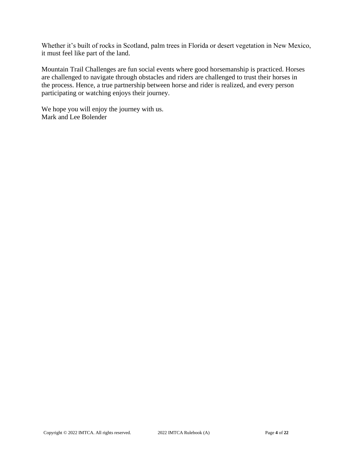Whether it's built of rocks in Scotland, palm trees in Florida or desert vegetation in New Mexico, it must feel like part of the land.

Mountain Trail Challenges are fun social events where good horsemanship is practiced. Horses are challenged to navigate through obstacles and riders are challenged to trust their horses in the process. Hence, a true partnership between horse and rider is realized, and every person participating or watching enjoys their journey.

We hope you will enjoy the journey with us. Mark and Lee Bolender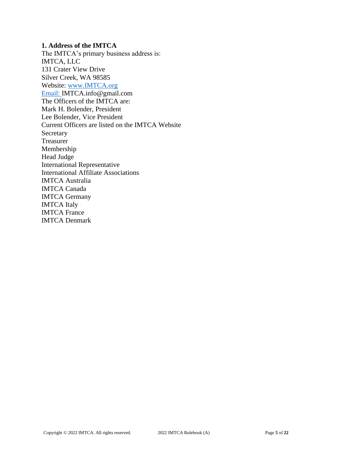# **1. Address of the IMTCA**

The IMTCA's primary business address is: IMTCA, LLC 131 Crater View Drive Silver Creek, WA 98585 Website: [www.IMTCA.org](http://www.imtca.org/)  [Email: I](mailto:IMTCA.info@gmail.com)MTCA.info@gmail.com The Officers of the IMTCA are: Mark H. Bolender, President Lee Bolender, Vice President Current Officers are listed on the IMTCA Website Secretary Treasurer Membership Head Judge International Representative International Affiliate Associations IMTCA Australia IMTCA Canada IMTCA Germany IMTCA Italy IMTCA France IMTCA Denmark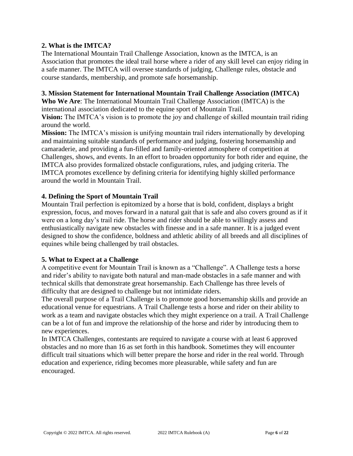# **2. What is the IMTCA?**

The International Mountain Trail Challenge Association, known as the IMTCA, is an Association that promotes the ideal trail horse where a rider of any skill level can enjoy riding in a safe manner. The IMTCA will oversee standards of judging, Challenge rules, obstacle and course standards, membership, and promote safe horsemanship.

# **3. Mission Statement for International Mountain Trail Challenge Association (IMTCA)**

**Who We Are**: The International Mountain Trail Challenge Association (IMTCA) is the international association dedicated to the equine sport of Mountain Trail.

**Vision:** The IMTCA's vision is to promote the joy and challenge of skilled mountain trail riding around the world.

**Mission:** The IMTCA's mission is unifying mountain trail riders internationally by developing and maintaining suitable standards of performance and judging, fostering horsemanship and camaraderie, and providing a fun-filled and family-oriented atmosphere of competition at Challenges, shows, and events. In an effort to broaden opportunity for both rider and equine, the IMTCA also provides formalized obstacle configurations, rules, and judging criteria. The IMTCA promotes excellence by defining criteria for identifying highly skilled performance around the world in Mountain Trail.

# **4. Defining the Sport of Mountain Trail**

Mountain Trail perfection is epitomized by a horse that is bold, confident, displays a bright expression, focus, and moves forward in a natural gait that is safe and also covers ground as if it were on a long day's trail ride. The horse and rider should be able to willingly assess and enthusiastically navigate new obstacles with finesse and in a safe manner. It is a judged event designed to show the confidence, boldness and athletic ability of all breeds and all disciplines of equines while being challenged by trail obstacles.

# **5. What to Expect at a Challenge**

A competitive event for Mountain Trail is known as a "Challenge". A Challenge tests a horse and rider's ability to navigate both natural and man-made obstacles in a safe manner and with technical skills that demonstrate great horsemanship. Each Challenge has three levels of difficulty that are designed to challenge but not intimidate riders.

The overall purpose of a Trail Challenge is to promote good horsemanship skills and provide an educational venue for equestrians. A Trail Challenge tests a horse and rider on their ability to work as a team and navigate obstacles which they might experience on a trail. A Trail Challenge can be a lot of fun and improve the relationship of the horse and rider by introducing them to new experiences.

In IMTCA Challenges, contestants are required to navigate a course with at least 6 approved obstacles and no more than 16 as set forth in this handbook. Sometimes they will encounter difficult trail situations which will better prepare the horse and rider in the real world. Through education and experience, riding becomes more pleasurable, while safety and fun are encouraged.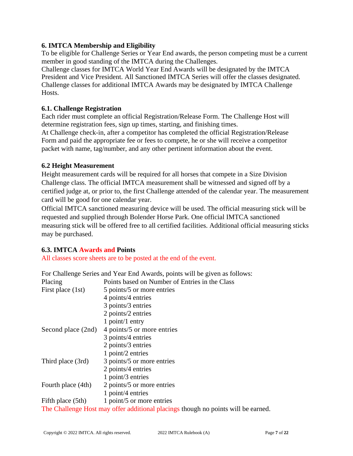# **6. IMTCA Membership and Eligibility**

To be eligible for Challenge Series or Year End awards, the person competing must be a current member in good standing of the IMTCA during the Challenges.

Challenge classes for IMTCA World Year End Awards will be designated by the IMTCA President and Vice President. All Sanctioned IMTCA Series will offer the classes designated. Challenge classes for additional IMTCA Awards may be designated by IMTCA Challenge Hosts.

# **6.1. Challenge Registration**

Each rider must complete an official Registration/Release Form. The Challenge Host will determine registration fees, sign up times, starting, and finishing times.

At Challenge check-in, after a competitor has completed the official Registration/Release Form and paid the appropriate fee or fees to compete, he or she will receive a competitor packet with name, tag/number, and any other pertinent information about the event.

# **6.2 Height Measurement**

Height measurement cards will be required for all horses that compete in a Size Division Challenge class. The official IMTCA measurement shall be witnessed and signed off by a certified judge at, or prior to, the first Challenge attended of the calendar year. The measurement card will be good for one calendar year.

Official IMTCA sanctioned measuring device will be used. The official measuring stick will be requested and supplied through Bolender Horse Park. One official IMTCA sanctioned measuring stick will be offered free to all certified facilities. Additional official measuring sticks may be purchased.

# **6.3. IMTCA Awards and Points**

All classes score sheets are to be posted at the end of the event.

|                    | For Challenge Series and Year End Awards, points will be given as follows:        |
|--------------------|-----------------------------------------------------------------------------------|
| Placing            | Points based on Number of Entries in the Class                                    |
| First place (1st)  | 5 points/5 or more entries                                                        |
|                    | 4 points/4 entries                                                                |
|                    | 3 points/3 entries                                                                |
|                    | 2 points/2 entries                                                                |
|                    | 1 point/1 entry                                                                   |
| Second place (2nd) | 4 points/5 or more entries                                                        |
|                    | 3 points/4 entries                                                                |
|                    | 2 points/ $3$ entries                                                             |
|                    | 1 point/2 entries                                                                 |
| Third place (3rd)  | 3 points/5 or more entries                                                        |
|                    | 2 points/4 entries                                                                |
|                    | 1 point/3 entries                                                                 |
| Fourth place (4th) | 2 points/5 or more entries                                                        |
|                    | 1 point/4 entries                                                                 |
| Fifth place (5th)  | 1 point/5 or more entries                                                         |
|                    | The Challenge Host may offer additional placings though no points will be earned. |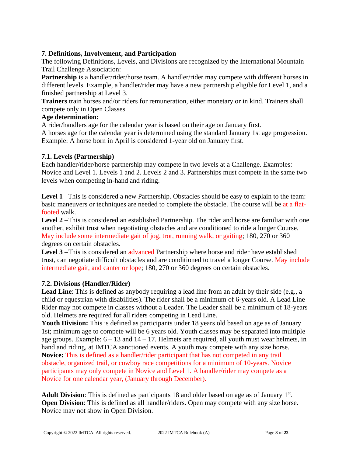# **7. Definitions, Involvement, and Participation**

The following Definitions, Levels, and Divisions are recognized by the International Mountain Trail Challenge Association:

**Partnership** is a handler/rider/horse team. A handler/rider may compete with different horses in different levels. Example, a handler/rider may have a new partnership eligible for Level 1, and a finished partnership at Level 3.

**Trainers** train horses and/or riders for remuneration, either monetary or in kind. Trainers shall compete only in Open Classes.

# **Age determination:**

A rider/handlers age for the calendar year is based on their age on January first.

A horses age for the calendar year is determined using the standard January 1st age progression. Example: A horse born in April is considered 1-year old on January first.

# **7.1. Levels (Partnership)**

Each handler/rider/horse partnership may compete in two levels at a Challenge. Examples: Novice and Level 1. Levels 1 and 2. Levels 2 and 3. Partnerships must compete in the same two levels when competing in-hand and riding.

Level 1 –This is considered a new Partnership. Obstacles should be easy to explain to the team: basic maneuvers or techniques are needed to complete the obstacle. The course will be at a flatfooted walk.

**Level 2** –This is considered an established Partnership. The rider and horse are familiar with one another, exhibit trust when negotiating obstacles and are conditioned to ride a longer Course. May include some intermediate gait of jog, trot, running walk, or gaiting; 180, 270 or 360 degrees on certain obstacles.

Level 3-This is considered an advanced Partnership where horse and rider have established trust, can negotiate difficult obstacles and are conditioned to travel a longer Course. May include intermediate gait, and canter or lope; 180, 270 or 360 degrees on certain obstacles.

# **7.2. Divisions (Handler/Rider)**

Lead Line: This is defined as anybody requiring a lead line from an adult by their side (e.g., a child or equestrian with disabilities). The rider shall be a minimum of 6-years old. A Lead Line Rider may not compete in classes without a Leader. The Leader shall be a minimum of 18-years old. Helmets are required for all riders competing in Lead Line.

Youth Division: This is defined as participants under 18 years old based on age as of January 1st; minimum age to compete will be 6 years old. Youth classes may be separated into multiple age groups. Example:  $6 - 13$  and  $14 - 17$ . Helmets are required, all youth must wear helmets, in hand and riding, at IMTCA sanctioned events. A youth may compete with any size horse. **Novice:** This is defined as a handler/rider participant that has not competed in any trail obstacle, organized trail, or cowboy race competitions for a minimum of 10-years. Novice participants may only compete in Novice and Level 1. A handler/rider may compete as a Novice for one calendar year, (January through December).

Adult Division: This is defined as participants 18 and older based on age as of January 1<sup>st</sup>. **Open Division**: This is defined as all handler/riders. Open may compete with any size horse. Novice may not show in Open Division.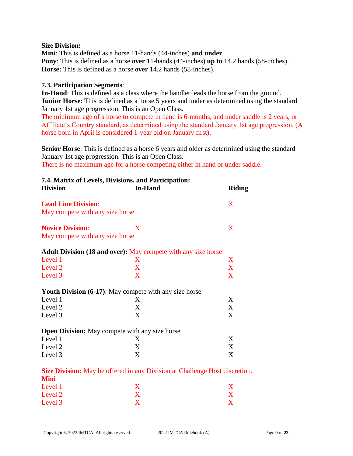#### **Size Division:**

**Mini**: This is defined as a horse 11-hands (44-inches) **and under**. **Pony**: This is defined as a horse **over** 11-hands (44-inches) **up to** 14.2 hands (58-inches). **Horse:** This is defined as a horse **over** 14.2 hands (58-inches).

# **7.3. Participation Segments**:

**In-Hand**: This is defined as a class where the handler leads the horse from the ground. **Junior Horse:** This is defined as a horse 5 years and under as determined using the standard January 1st age progression. This is an Open Class.

The minimum age of a horse to compete in hand is 6-months, and under saddle is 2 years, or Affiliate's Country standard, as determined using the standard January 1st age progression. (A horse born in April is considered 1-year old on January first).

**Senior Horse**: This is defined as a horse 6 years and older as determined using the standard January 1st age progression. This is an Open Class.

There is no maximum age for a horse competing either in hand or under saddle.

| <b>Division</b>                 | 7.4. Matrix of Levels, Divisions, and Participation:<br><b>In-Hand</b>             | <b>Riding</b> |
|---------------------------------|------------------------------------------------------------------------------------|---------------|
| <b>Lead Line Division:</b>      |                                                                                    | X             |
| May compete with any size horse |                                                                                    |               |
| <b>Novice Division:</b>         | X                                                                                  | X             |
| May compete with any size horse |                                                                                    |               |
|                                 | Adult Division (18 and over): May compete with any size horse                      |               |
| Level 1                         | X                                                                                  | X             |
| Level 2                         | X                                                                                  | X             |
| Level 3                         | X                                                                                  | X             |
|                                 | <b>Youth Division (6-17):</b> May compete with any size horse                      |               |
| Level 1                         | X                                                                                  | X             |
| Level 2                         | X                                                                                  | X             |
| Level 3                         | X                                                                                  | X             |
|                                 | <b>Open Division:</b> May compete with any size horse                              |               |
| Level 1                         | X                                                                                  | X             |
| Level 2                         | X                                                                                  | X             |
| Level 3                         | X                                                                                  | X             |
| Mini                            | <b>Size Division:</b> May be offered in any Division at Challenge Host discretion. |               |

|             |  |  |  | <b>Size Division:</b> May be offered in any Division at Challenge Host discretion. |
|-------------|--|--|--|------------------------------------------------------------------------------------|
| <b>Mini</b> |  |  |  |                                                                                    |
|             |  |  |  |                                                                                    |

| Level 1 |  |
|---------|--|
| Level 2 |  |
| Level 3 |  |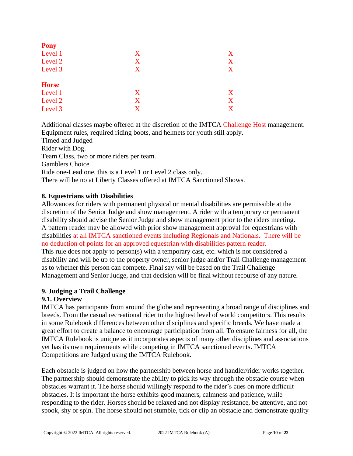| <b>Pony</b>  |   |   |
|--------------|---|---|
| Level 1      | X | X |
| Level 2      | X | X |
| Level 3      | X | X |
| <b>Horse</b> |   |   |
| Level 1      | X | X |
| Level 2      | X | X |
| Level 3      | X | X |

Additional classes maybe offered at the discretion of the IMTCA Challenge Host management. Equipment rules, required riding boots, and helmets for youth still apply. Timed and Judged Rider with Dog. Team Class, two or more riders per team. Gamblers Choice. Ride one-Lead one, this is a Level 1 or Level 2 class only. There will be no at Liberty Classes offered at IMTCA Sanctioned Shows.

# **8. Equestrians with Disabilities**

Allowances for riders with permanent physical or mental disabilities are permissible at the discretion of the Senior Judge and show management. A rider with a temporary or permanent disability should advise the Senior Judge and show management prior to the riders meeting. A pattern reader may be allowed with prior show management approval for equestrians with disabilities at all IMTCA sanctioned events including Regionals and Nationals. There will be no deduction of points for an approved equestrian with disabilities pattern reader. This rule does not apply to person(s) with a temporary cast, etc. which is not considered a

disability and will be up to the property owner, senior judge and/or Trail Challenge management as to whether this person can compete. Final say will be based on the Trail Challenge Management and Senior Judge, and that decision will be final without recourse of any nature.

# **9. Judging a Trail Challenge**

# **9.1. Overview**

IMTCA has participants from around the globe and representing a broad range of disciplines and breeds. From the casual recreational rider to the highest level of world competitors. This results in some Rulebook differences between other disciplines and specific breeds. We have made a great effort to create a balance to encourage participation from all. To ensure fairness for all, the IMTCA Rulebook is unique as it incorporates aspects of many other disciplines and associations yet has its own requirements while competing in IMTCA sanctioned events. IMTCA Competitions are Judged using the IMTCA Rulebook.

Each obstacle is judged on how the partnership between horse and handler/rider works together. The partnership should demonstrate the ability to pick its way through the obstacle course when obstacles warrant it. The horse should willingly respond to the rider's cues on more difficult obstacles. It is important the horse exhibits good manners, calmness and patience, while responding to the rider. Horses should be relaxed and not display resistance, be attentive, and not spook, shy or spin. The horse should not stumble, tick or clip an obstacle and demonstrate quality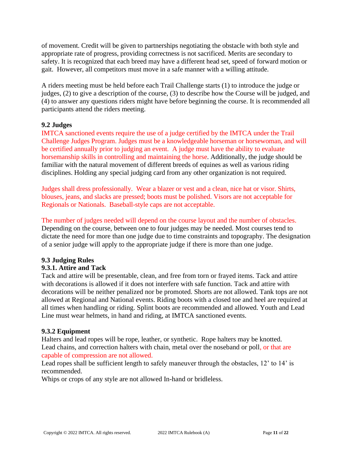of movement. Credit will be given to partnerships negotiating the obstacle with both style and appropriate rate of progress, providing correctness is not sacrificed. Merits are secondary to safety. It is recognized that each breed may have a different head set, speed of forward motion or gait. However, all competitors must move in a safe manner with a willing attitude.

A riders meeting must be held before each Trail Challenge starts (1) to introduce the judge or judges, (2) to give a description of the course, (3) to describe how the Course will be judged, and (4) to answer any questions riders might have before beginning the course. It is recommended all participants attend the riders meeting.

# **9.2 Judges**

IMTCA sanctioned events require the use of a judge certified by the IMTCA under the Trail Challenge Judges Program. Judges must be a knowledgeable horseman or horsewoman, and will be certified annually prior to judging an event. A judge must have the ability to evaluate horsemanship skills in controlling and maintaining the horse. Additionally, the judge should be familiar with the natural movement of different breeds of equines as well as various riding disciplines. Holding any special judging card from any other organization is not required.

Judges shall dress professionally. Wear a blazer or vest and a clean, nice hat or visor. Shirts, blouses, jeans, and slacks are pressed; boots must be polished. Visors are not acceptable for Regionals or Nationals. Baseball-style caps are not acceptable.

The number of judges needed will depend on the course layout and the number of obstacles. Depending on the course, between one to four judges may be needed. Most courses tend to dictate the need for more than one judge due to time constraints and topography. The designation of a senior judge will apply to the appropriate judge if there is more than one judge.

# **9.3 Judging Rules**

# **9.3.1. Attire and Tack**

Tack and attire will be presentable, clean, and free from torn or frayed items. Tack and attire with decorations is allowed if it does not interfere with safe function. Tack and attire with decorations will be neither penalized nor be promoted. Shorts are not allowed. Tank tops are not allowed at Regional and National events. Riding boots with a closed toe and heel are required at all times when handling or riding. Splint boots are recommended and allowed. Youth and Lead Line must wear helmets, in hand and riding, at IMTCA sanctioned events.

# **9.3.2 Equipment**

Halters and lead ropes will be rope, leather, or synthetic. Rope halters may be knotted. Lead chains, and correction halters with chain, metal over the noseband or poll, or that are capable of compression are not allowed.

Lead ropes shall be sufficient length to safely maneuver through the obstacles, 12' to 14' is recommended.

Whips or crops of any style are not allowed In-hand or bridleless.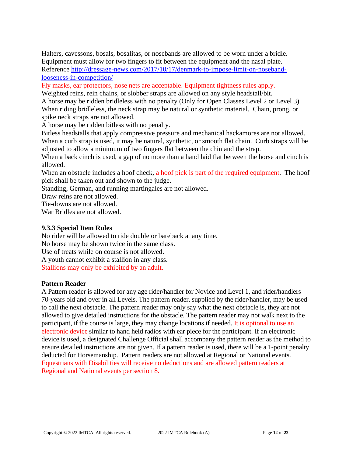Halters, cavessons, bosals, bosalitas, or nosebands are allowed to be worn under a bridle. Equipment must allow for two fingers to fit between the equipment and the nasal plate. Reference [http://dressage-news.com/2017/10/17/denmark-to-impose-limit-on-noseband](http://dressage-news.com/2017/10/17/denmark-to-impose-limit-on-noseband-looseness-in-competition/)[looseness-in-competition/](http://dressage-news.com/2017/10/17/denmark-to-impose-limit-on-noseband-looseness-in-competition/)

Fly masks, ear protectors, nose nets are acceptable. Equipment tightness rules apply.

Weighted reins, rein chains, or slobber straps are allowed on any style headstall/bit.

A horse may be ridden bridleless with no penalty (Only for Open Classes Level 2 or Level 3) When riding bridleless, the neck strap may be natural or synthetic material. Chain, prong, or spike neck straps are not allowed.

A horse may be ridden bitless with no penalty.

Bitless headstalls that apply compressive pressure and mechanical hackamores are not allowed. When a curb strap is used, it may be natural, synthetic, or smooth flat chain. Curb straps will be adjusted to allow a minimum of two fingers flat between the chin and the strap.

When a back cinch is used, a gap of no more than a hand laid flat between the horse and cinch is allowed.

When an obstacle includes a hoof check, a hoof pick is part of the required equipment. The hoof pick shall be taken out and shown to the judge.

Standing, German, and running martingales are not allowed.

Draw reins are not allowed.

Tie-downs are not allowed.

War Bridles are not allowed.

# **9.3.3 Special Item Rules**

No rider will be allowed to ride double or bareback at any time.

No horse may be shown twice in the same class.

Use of treats while on course is not allowed.

A youth cannot exhibit a stallion in any class.

Stallions may only be exhibited by an adult.

# **Pattern Reader**

A Pattern reader is allowed for any age rider/handler for Novice and Level 1, and rider/handlers 70-years old and over in all Levels. The pattern reader, supplied by the rider/handler, may be used to call the next obstacle. The pattern reader may only say what the next obstacle is, they are not allowed to give detailed instructions for the obstacle. The pattern reader may not walk next to the participant, if the course is large, they may change locations if needed. It is optional to use an electronic device similar to hand held radios with ear piece for the participant. If an electronic device is used, a designated Challenge Official shall accompany the pattern reader as the method to ensure detailed instructions are not given. If a pattern reader is used, there will be a 1-point penalty deducted for Horsemanship. Pattern readers are not allowed at Regional or National events. Equestrians with Disabilities will receive no deductions and are allowed pattern readers at Regional and National events per section 8.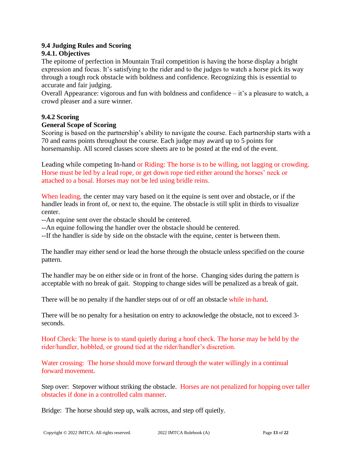# **9.4 Judging Rules and Scoring**

# **9.4.1. Objectives**

The epitome of perfection in Mountain Trail competition is having the horse display a bright expression and focus. It's satisfying to the rider and to the judges to watch a horse pick its way through a tough rock obstacle with boldness and confidence. Recognizing this is essential to accurate and fair judging.

Overall Appearance: vigorous and fun with boldness and confidence – it's a pleasure to watch, a crowd pleaser and a sure winner.

# **9.4.2 Scoring**

# **General Scope of Scoring**

Scoring is based on the partnership's ability to navigate the course. Each partnership starts with a 70 and earns points throughout the course. Each judge may award up to 5 points for horsemanship. All scored classes score sheets are to be posted at the end of the event.

Leading while competing In-hand or Riding: The horse is to be willing, not lagging or crowding. Horse must be led by a lead rope, or get down rope tied either around the horses' neck or attached to a bosal. Horses may not be led using bridle reins.

When leading, the center may vary based on it the equine is sent over and obstacle, or if the handler leads in front of, or next to, the equine. The obstacle is still split in thirds to visualize center.

--An equine sent over the obstacle should be centered.

--An equine following the handler over the obstacle should be centered.

--If the handler is side by side on the obstacle with the equine, center is between them.

The handler may either send or lead the horse through the obstacle unless specified on the course pattern.

The handler may be on either side or in front of the horse. Changing sides during the pattern is acceptable with no break of gait. Stopping to change sides will be penalized as a break of gait.

There will be no penalty if the handler steps out of or off an obstacle while in-hand.

There will be no penalty for a hesitation on entry to acknowledge the obstacle, not to exceed 3 seconds.

Hoof Check: The horse is to stand quietly during a hoof check. The horse may be held by the rider/handler, hobbled, or ground tied at the rider/handler's discretion.

Water crossing: The horse should move forward through the water willingly in a continual forward movement.

Step over: Stepover without striking the obstacle. Horses are not penalized for hopping over taller obstacles if done in a controlled calm manner.

Bridge: The horse should step up, walk across, and step off quietly.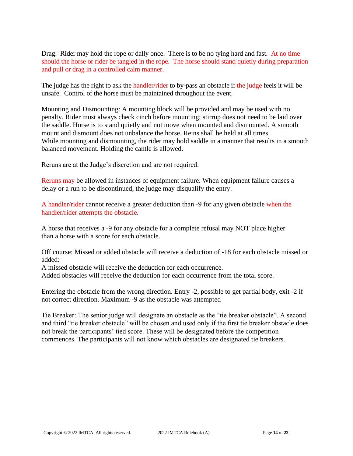Drag: Rider may hold the rope or dally once. There is to be no tying hard and fast. At no time should the horse or rider be tangled in the rope. The horse should stand quietly during preparation and pull or drag in a controlled calm manner.

The judge has the right to ask the handler/rider to by-pass an obstacle if the judge feels it will be unsafe. Control of the horse must be maintained throughout the event.

Mounting and Dismounting: A mounting block will be provided and may be used with no penalty. Rider must always check cinch before mounting; stirrup does not need to be laid over the saddle. Horse is to stand quietly and not move when mounted and dismounted. A smooth mount and dismount does not unbalance the horse. Reins shall be held at all times. While mounting and dismounting, the rider may hold saddle in a manner that results in a smooth balanced movement. Holding the cantle is allowed.

Reruns are at the Judge's discretion and are not required.

Reruns may be allowed in instances of equipment failure. When equipment failure causes a delay or a run to be discontinued, the judge may disqualify the entry.

A handler/rider cannot receive a greater deduction than -9 for any given obstacle when the handler/rider attempts the obstacle.

A horse that receives a -9 for any obstacle for a complete refusal may NOT place higher than a horse with a score for each obstacle.

Off course: Missed or added obstacle will receive a deduction of -18 for each obstacle missed or added:

A missed obstacle will receive the deduction for each occurrence.

Added obstacles will receive the deduction for each occurrence from the total score.

Entering the obstacle from the wrong direction. Entry -2, possible to get partial body, exit -2 if not correct direction. Maximum -9 as the obstacle was attempted

Tie Breaker: The senior judge will designate an obstacle as the "tie breaker obstacle". A second and third "tie breaker obstacle" will be chosen and used only if the first tie breaker obstacle does not break the participants' tied score. These will be designated before the competition commences. The participants will not know which obstacles are designated tie breakers.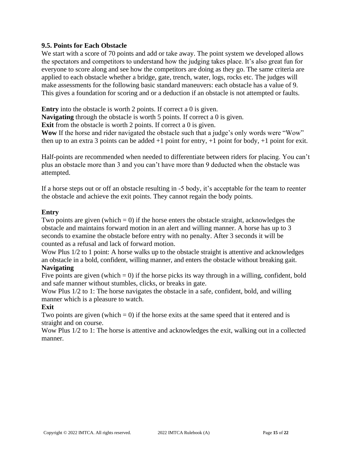# **9.5. Points for Each Obstacle**

We start with a score of 70 points and add or take away. The point system we developed allows the spectators and competitors to understand how the judging takes place. It's also great fun for everyone to score along and see how the competitors are doing as they go. The same criteria are applied to each obstacle whether a bridge, gate, trench, water, logs, rocks etc. The judges will make assessments for the following basic standard maneuvers: each obstacle has a value of 9. This gives a foundation for scoring and or a deduction if an obstacle is not attempted or faults.

**Entry** into the obstacle is worth 2 points. If correct a 0 is given.

**Navigating** through the obstacle is worth 5 points. If correct a 0 is given.

**Exit** from the obstacle is worth 2 points. If correct a 0 is given.

**Wow** If the horse and rider navigated the obstacle such that a judge's only words were "Wow" then up to an extra 3 points can be added  $+1$  point for entry,  $+1$  point for body,  $+1$  point for exit.

Half-points are recommended when needed to differentiate between riders for placing. You can't plus an obstacle more than 3 and you can't have more than 9 deducted when the obstacle was attempted.

If a horse steps out or off an obstacle resulting in -5 body, it's acceptable for the team to reenter the obstacle and achieve the exit points. They cannot regain the body points.

# **Entry**

Two points are given (which  $= 0$ ) if the horse enters the obstacle straight, acknowledges the obstacle and maintains forward motion in an alert and willing manner. A horse has up to 3 seconds to examine the obstacle before entry with no penalty. After 3 seconds it will be counted as a refusal and lack of forward motion.

Wow Plus  $1/2$  to 1 point: A horse walks up to the obstacle straight is attentive and acknowledges an obstacle in a bold, confident, willing manner, and enters the obstacle without breaking gait. **Navigating**

Five points are given (which  $= 0$ ) if the horse picks its way through in a willing, confident, bold and safe manner without stumbles, clicks, or breaks in gate.

Wow Plus 1/2 to 1: The horse navigates the obstacle in a safe, confident, bold, and willing manner which is a pleasure to watch.

# **Exit**

Two points are given (which  $= 0$ ) if the horse exits at the same speed that it entered and is straight and on course.

Wow Plus  $1/2$  to 1: The horse is attentive and acknowledges the exit, walking out in a collected manner.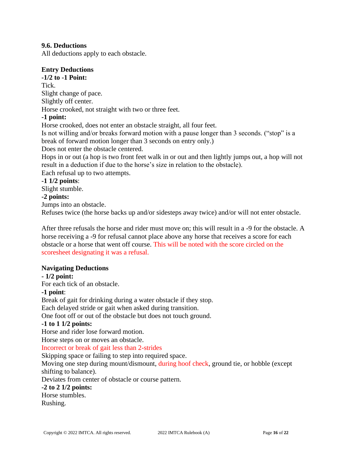# **9.6. Deductions**

All deductions apply to each obstacle.

# **Entry Deductions**

# **-1/2 to -1 Point:**

Tick. Slight change of pace. Slightly off center. Horse crooked, not straight with two or three feet.

# **-1 point:**

Horse crooked, does not enter an obstacle straight, all four feet.

Is not willing and/or breaks forward motion with a pause longer than 3 seconds. ("stop" is a break of forward motion longer than 3 seconds on entry only.)

Does not enter the obstacle centered.

Hops in or out (a hop is two front feet walk in or out and then lightly jumps out, a hop will not result in a deduction if due to the horse's size in relation to the obstacle).

Each refusal up to two attempts.

# **-1 1/2 points**:

Slight stumble.

# **-2 points:**

Jumps into an obstacle.

Refuses twice (the horse backs up and/or sidesteps away twice) and/or will not enter obstacle.

After three refusals the horse and rider must move on; this will result in a -9 for the obstacle. A horse receiving a -9 for refusal cannot place above any horse that receives a score for each obstacle or a horse that went off course. This will be noted with the score circled on the scoresheet designating it was a refusal.

# **Navigating Deductions**

# **- 1/2 point:**

For each tick of an obstacle.

# **-1 point**:

Break of gait for drinking during a water obstacle if they stop.

Each delayed stride or gait when asked during transition.

One foot off or out of the obstacle but does not touch ground.

# **-1 to 1 1/2 points:**

Horse and rider lose forward motion.

Horse steps on or moves an obstacle.

Incorrect or break of gait less than 2-strides

Skipping space or failing to step into required space.

Moving one step during mount/dismount, during hoof check, ground tie, or hobble (except shifting to balance).

Deviates from center of obstacle or course pattern.

# **-2 to 2 1/2 points:**

Horse stumbles.

Rushing.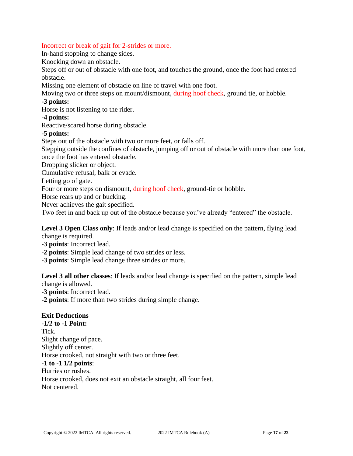#### Incorrect or break of gait for 2-strides or more.

In-hand stopping to change sides.

Knocking down an obstacle.

Steps off or out of obstacle with one foot, and touches the ground, once the foot had entered obstacle.

Missing one element of obstacle on line of travel with one foot.

Moving two or three steps on mount/dismount, during hoof check, ground tie, or hobble.

#### **-3 points:**

Horse is not listening to the rider.

#### **-4 points:**

Reactive/scared horse during obstacle.

# **-5 points:**

Steps out of the obstacle with two or more feet, or falls off.

Stepping outside the confines of obstacle, jumping off or out of obstacle with more than one foot, once the foot has entered obstacle.

Dropping slicker or object.

Cumulative refusal, balk or evade.

Letting go of gate.

Four or more steps on dismount, during hoof check, ground-tie or hobble.

Horse rears up and or bucking.

Never achieves the gait specified.

Two feet in and back up out of the obstacle because you've already "entered" the obstacle.

Level 3 Open Class only: If leads and/or lead change is specified on the pattern, flying lead change is required.

**-3 points**: Incorrect lead.

**-2 points**: Simple lead change of two strides or less.

**-3 points**: Simple lead change three strides or more.

**Level 3 all other classes**: If leads and/or lead change is specified on the pattern, simple lead change is allowed.

**-3 points**: Incorrect lead.

**-2 points**: If more than two strides during simple change.

# **Exit Deductions**

**-1/2 to -1 Point:** Tick. Slight change of pace. Slightly off center. Horse crooked, not straight with two or three feet. **-1 to -1 1/2 points**: Hurries or rushes. Horse crooked, does not exit an obstacle straight, all four feet. Not centered.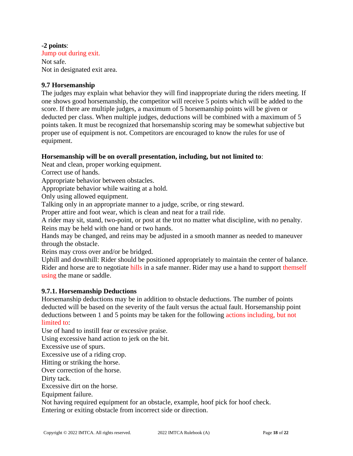#### **-2 points**:

Jump out during exit. Not safe. Not in designated exit area.

# **9.7 Horsemanship**

The judges may explain what behavior they will find inappropriate during the riders meeting. If one shows good horsemanship, the competitor will receive 5 points which will be added to the score. If there are multiple judges, a maximum of 5 horsemanship points will be given or deducted per class. When multiple judges, deductions will be combined with a maximum of 5 points taken. It must be recognized that horsemanship scoring may be somewhat subjective but proper use of equipment is not. Competitors are encouraged to know the rules for use of equipment.

# **Horsemanship will be on overall presentation, including, but not limited to**:

Neat and clean, proper working equipment.

Correct use of hands.

Appropriate behavior between obstacles.

Appropriate behavior while waiting at a hold.

Only using allowed equipment.

Talking only in an appropriate manner to a judge, scribe, or ring steward.

Proper attire and foot wear, which is clean and neat for a trail ride.

A rider may sit, stand, two-point, or post at the trot no matter what discipline, with no penalty. Reins may be held with one hand or two hands.

Hands may be changed, and reins may be adjusted in a smooth manner as needed to maneuver through the obstacle.

Reins may cross over and/or be bridged.

Uphill and downhill: Rider should be positioned appropriately to maintain the center of balance. Rider and horse are to negotiate hills in a safe manner. Rider may use a hand to support themself using the mane or saddle.

# **9.7.1. Horsemanship Deductions**

Horsemanship deductions may be in addition to obstacle deductions. The number of points deducted will be based on the severity of the fault versus the actual fault. Horsemanship point deductions between 1 and 5 points may be taken for the following actions including, but not limited to:

Use of hand to instill fear or excessive praise.

Using excessive hand action to jerk on the bit.

Excessive use of spurs.

Excessive use of a riding crop.

Hitting or striking the horse.

Over correction of the horse.

Dirty tack.

Excessive dirt on the horse.

Equipment failure.

Not having required equipment for an obstacle, example, hoof pick for hoof check. Entering or exiting obstacle from incorrect side or direction.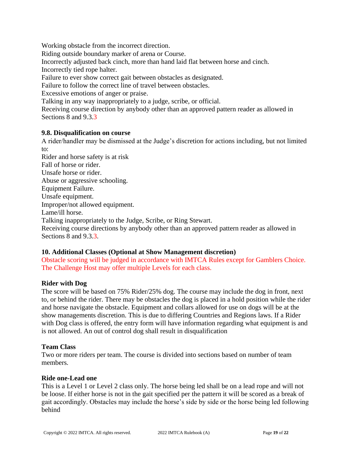Working obstacle from the incorrect direction. Riding outside boundary marker of arena or Course. Incorrectly adjusted back cinch, more than hand laid flat between horse and cinch. Incorrectly tied rope halter. Failure to ever show correct gait between obstacles as designated. Failure to follow the correct line of travel between obstacles. Excessive emotions of anger or praise. Talking in any way inappropriately to a judge, scribe, or official. Receiving course direction by anybody other than an approved pattern reader as allowed in Sections 8 and 9.3.3

# **9.8. Disqualification on course**

A rider/handler may be dismissed at the Judge's discretion for actions including, but not limited to: Rider and horse safety is at risk Fall of horse or rider. Unsafe horse or rider. Abuse or aggressive schooling. Equipment Failure. Unsafe equipment. Improper/not allowed equipment. Lame/ill horse. Talking inappropriately to the Judge, Scribe, or Ring Stewart. Receiving course directions by anybody other than an approved pattern reader as allowed in Sections 8 and 9.3.3.

# **10. Additional Classes (Optional at Show Management discretion)**

Obstacle scoring will be judged in accordance with IMTCA Rules except for Gamblers Choice. The Challenge Host may offer multiple Levels for each class.

# **Rider with Dog**

The score will be based on 75% Rider/25% dog. The course may include the dog in front, next to, or behind the rider. There may be obstacles the dog is placed in a hold position while the rider and horse navigate the obstacle. Equipment and collars allowed for use on dogs will be at the show managements discretion. This is due to differing Countries and Regions laws. If a Rider with Dog class is offered, the entry form will have information regarding what equipment is and is not allowed. An out of control dog shall result in disqualification

# **Team Class**

Two or more riders per team. The course is divided into sections based on number of team members.

# **Ride one-Lead one**

This is a Level 1 or Level 2 class only. The horse being led shall be on a lead rope and will not be loose. If either horse is not in the gait specified per the pattern it will be scored as a break of gait accordingly. Obstacles may include the horse's side by side or the horse being led following behind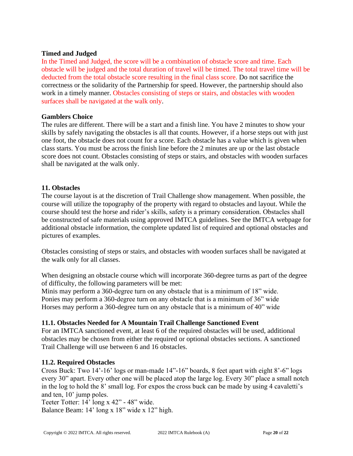# **Timed and Judged**

In the Timed and Judged, the score will be a combination of obstacle score and time. Each obstacle will be judged and the total duration of travel will be timed. The total travel time will be deducted from the total obstacle score resulting in the final class score. Do not sacrifice the correctness or the solidarity of the Partnership for speed. However, the partnership should also work in a timely manner. Obstacles consisting of steps or stairs, and obstacles with wooden surfaces shall be navigated at the walk only.

# **Gamblers Choice**

The rules are different. There will be a start and a finish line. You have 2 minutes to show your skills by safely navigating the obstacles is all that counts. However, if a horse steps out with just one foot, the obstacle does not count for a score. Each obstacle has a value which is given when class starts. You must be across the finish line before the 2 minutes are up or the last obstacle score does not count. Obstacles consisting of steps or stairs, and obstacles with wooden surfaces shall be navigated at the walk only.

#### **11. Obstacles**

The course layout is at the discretion of Trail Challenge show management. When possible, the course will utilize the topography of the property with regard to obstacles and layout. While the course should test the horse and rider's skills, safety is a primary consideration. Obstacles shall be constructed of safe materials using approved IMTCA guidelines. See the IMTCA webpage for additional obstacle information, the complete updated list of required and optional obstacles and pictures of examples.

Obstacles consisting of steps or stairs, and obstacles with wooden surfaces shall be navigated at the walk only for all classes.

When designing an obstacle course which will incorporate 360-degree turns as part of the degree of difficulty, the following parameters will be met:

Minis may perform a 360-degree turn on any obstacle that is a minimum of 18" wide. Ponies may perform a 360-degree turn on any obstacle that is a minimum of 36" wide Horses may perform a 360-degree turn on any obstacle that is a minimum of 40" wide

# **11.1. Obstacles Needed for A Mountain Trail Challenge Sanctioned Event**

For an IMTCA sanctioned event, at least 6 of the required obstacles will be used, additional obstacles may be chosen from either the required or optional obstacles sections. A sanctioned Trail Challenge will use between 6 and 16 obstacles.

#### **11.2. Required Obstacles**

Cross Buck: Two 14'-16' logs or man-made 14"-16" boards, 8 feet apart with eight 8'-6" logs every 30" apart. Every other one will be placed atop the large log. Every 30" place a small notch in the log to hold the 8' small log. For expos the cross buck can be made by using 4 cavaletti's and ten, 10' jump poles.

Teeter Totter: 14' long x 42" - 48" wide. Balance Beam: 14' long x 18" wide x 12" high.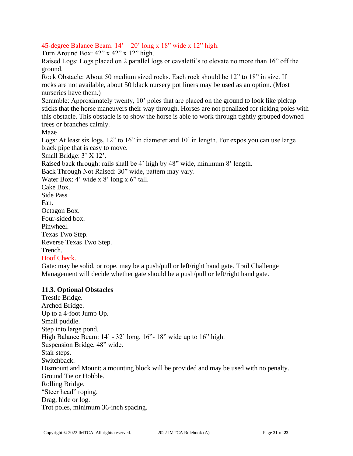# 45-degree Balance Beam:  $14' - 20'$  long x 18" wide x 12" high.

Turn Around Box: 42" x 42" x 12" high.

Raised Logs: Logs placed on 2 parallel logs or cavaletti's to elevate no more than 16" off the ground.

Rock Obstacle: About 50 medium sized rocks. Each rock should be 12" to 18" in size. If rocks are not available, about 50 black nursery pot liners may be used as an option. (Most nurseries have them.)

Scramble: Approximately twenty, 10' poles that are placed on the ground to look like pickup sticks that the horse maneuvers their way through. Horses are not penalized for ticking poles with this obstacle. This obstacle is to show the horse is able to work through tightly grouped downed trees or branches calmly.

Maze

Logs: At least six logs, 12" to 16" in diameter and 10' in length. For expos you can use large black pipe that is easy to move.

Small Bridge: 3' X 12'.

Raised back through: rails shall be 4' high by 48" wide, minimum 8' length.

Back Through Not Raised: 30" wide, pattern may vary.

Water Box: 4' wide x 8' long x 6" tall.

Cake Box. Side Pass. Fan. Octagon Box. Four-sided box. Pinwheel. Texas Two Step. Reverse Texas Two Step. Trench.

# Hoof Check.

Gate: may be solid, or rope, may be a push/pull or left/right hand gate. Trail Challenge Management will decide whether gate should be a push/pull or left/right hand gate.

# **11.3. Optional Obstacles**

Trestle Bridge. Arched Bridge. Up to a 4-foot Jump Up. Small puddle. Step into large pond. High Balance Beam:  $14' - 32'$  long,  $16'' - 18''$  wide up to  $16''$  high. Suspension Bridge, 48" wide. Stair steps. Switchback. Dismount and Mount: a mounting block will be provided and may be used with no penalty. Ground Tie or Hobble. Rolling Bridge. "Steer head" roping. Drag, hide or log. Trot poles, minimum 36-inch spacing.